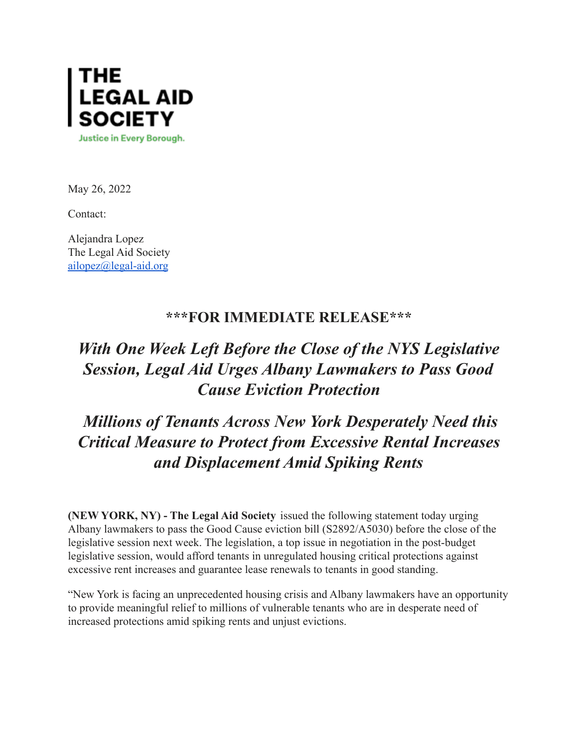

May 26, 2022

Contact:

Alejandra Lopez The Legal Aid Society [ailopez@legal-aid.org](mailto:ailopez@legal-aid.org)

## **\*\*\*FOR IMMEDIATE RELEASE\*\*\***

## *With One Week Left Before the Close of the NYS Legislative Session, Legal Aid Urges Albany Lawmakers to Pass Good Cause Eviction Protection*

## *Millions of Tenants Across New York Desperately Need this Critical Measure to Protect from Excessive Rental Increases and Displacement Amid Spiking Rents*

**(NEW YORK, NY) - The Legal Aid Society** issued the following statement today urging Albany lawmakers to pass the Good Cause eviction bill (S2892/A5030) before the close of the legislative session next week. The legislation, a top issue in negotiation in the post-budget legislative session, would afford tenants in unregulated housing critical protections against excessive rent increases and guarantee lease renewals to tenants in good standing.

"New York is facing an unprecedented housing crisis and Albany lawmakers have an opportunity to provide meaningful relief to millions of vulnerable tenants who are in desperate need of increased protections amid spiking rents and unjust evictions.